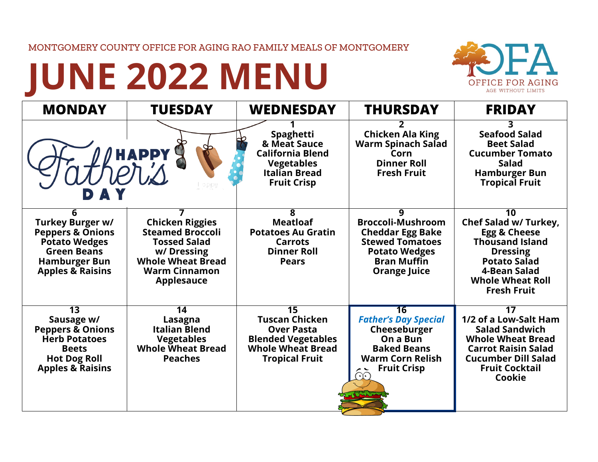## MONTGOMERY COUNTY OFFICE FOR AGING RAO FAMILY MEALS OF MONTGOMERY

## **JUNE 2022 MENU**



| <b>MONDAY</b>                                                                                                                                              | <b>TUESDAY</b>                                                                                                                                                  | <b>WEDNESDAY</b>                                                                                                                                | <b>THURSDAY</b>                                                                                                                                         | <b>FRIDAY</b>                                                                                                                                                                                 |
|------------------------------------------------------------------------------------------------------------------------------------------------------------|-----------------------------------------------------------------------------------------------------------------------------------------------------------------|-------------------------------------------------------------------------------------------------------------------------------------------------|---------------------------------------------------------------------------------------------------------------------------------------------------------|-----------------------------------------------------------------------------------------------------------------------------------------------------------------------------------------------|
|                                                                                                                                                            | <b>HAPPY</b>                                                                                                                                                    | Spaghetti<br>& Meat Sauce<br><b>California Blend</b><br><b>Vegetables</b><br><b>Italian Bread</b><br><b>Fruit Crisp</b>                         | <b>Chicken Ala King</b><br><b>Warm Spinach Salad</b><br>Corn<br><b>Dinner Roll</b><br><b>Fresh Fruit</b>                                                | 3<br><b>Seafood Salad</b><br><b>Beet Salad</b><br><b>Cucumber Tomato</b><br><b>Salad</b><br><b>Hamburger Bun</b><br><b>Tropical Fruit</b>                                                     |
| 6<br>Turkey Burger w/<br><b>Peppers &amp; Onions</b><br><b>Potato Wedges</b><br><b>Green Beans</b><br><b>Hamburger Bun</b><br><b>Apples &amp; Raisins</b>  | <b>Chicken Riggies</b><br><b>Steamed Broccoli</b><br><b>Tossed Salad</b><br>w/Dressing<br><b>Whole Wheat Bread</b><br><b>Warm Cinnamon</b><br><b>Applesauce</b> | 8<br><b>Meatloaf</b><br><b>Potatoes Au Gratin</b><br><b>Carrots</b><br><b>Dinner Roll</b><br><b>Pears</b>                                       | q<br><b>Broccoli-Mushroom</b><br><b>Cheddar Egg Bake</b><br><b>Stewed Tomatoes</b><br><b>Potato Wedges</b><br><b>Bran Muffin</b><br><b>Orange Juice</b> | $\overline{10}$<br>Chef Salad w/ Turkey,<br>Egg & Cheese<br><b>Thousand Island</b><br><b>Dressing</b><br><b>Potato Salad</b><br>4-Bean Salad<br><b>Whole Wheat Roll</b><br><b>Fresh Fruit</b> |
| $\overline{13}$<br>Sausage w/<br><b>Peppers &amp; Onions</b><br><b>Herb Potatoes</b><br><b>Beets</b><br><b>Hot Dog Roll</b><br><b>Apples &amp; Raisins</b> | $\overline{14}$<br>Lasagna<br><b>Italian Blend</b><br><b>Vegetables</b><br><b>Whole Wheat Bread</b><br><b>Peaches</b>                                           | $\overline{15}$<br><b>Tuscan Chicken</b><br><b>Over Pasta</b><br><b>Blended Vegetables</b><br><b>Whole Wheat Bread</b><br><b>Tropical Fruit</b> | 16<br><b>Father's Day Special</b><br>Cheeseburger<br>On a Bun<br><b>Baked Beans</b><br><b>Warm Corn Relish</b><br><b>Fruit Crisp</b><br>$\bigodot$      | $\overline{17}$<br>1/2 of a Low-Salt Ham<br><b>Salad Sandwich</b><br><b>Whole Wheat Bread</b><br><b>Carrot Raisin Salad</b><br><b>Cucumber Dill Salad</b><br><b>Fruit Cocktail</b><br>Cookie  |